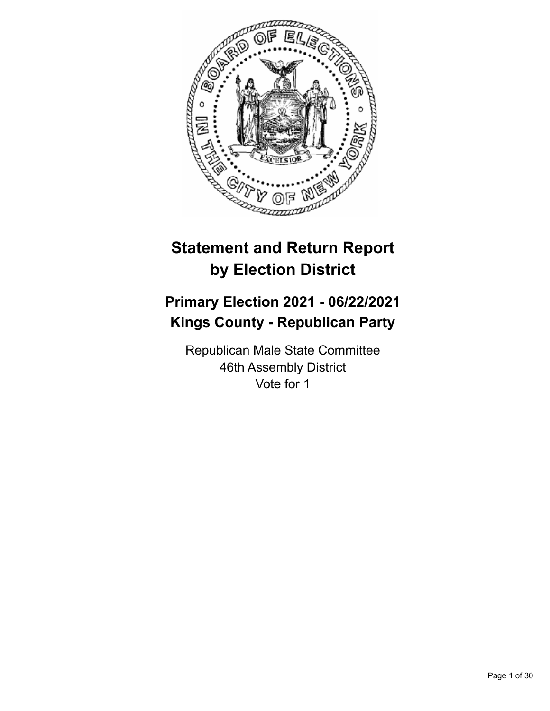

# **Statement and Return Report by Election District**

# **Primary Election 2021 - 06/22/2021 Kings County - Republican Party**

Republican Male State Committee 46th Assembly District Vote for 1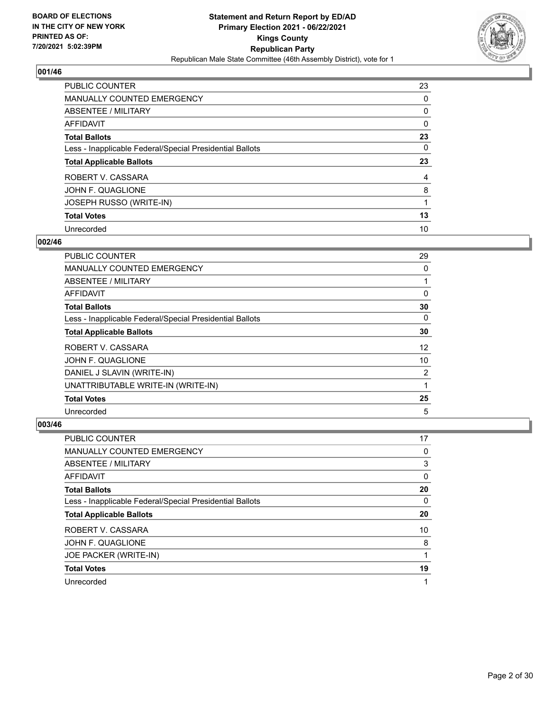

| <b>PUBLIC COUNTER</b>                                    | 23       |
|----------------------------------------------------------|----------|
| MANUALLY COUNTED EMERGENCY                               | $\Omega$ |
| ABSENTEE / MILITARY                                      | 0        |
| AFFIDAVIT                                                | $\Omega$ |
| <b>Total Ballots</b>                                     | 23       |
| Less - Inapplicable Federal/Special Presidential Ballots | 0        |
| <b>Total Applicable Ballots</b>                          | 23       |
|                                                          |          |
| ROBERT V. CASSARA                                        | 4        |
| JOHN F. QUAGLIONE                                        | 8        |
| <b>JOSEPH RUSSO (WRITE-IN)</b>                           |          |
| <b>Total Votes</b>                                       | 13       |

# **002/46**

| PUBLIC COUNTER                                           | 29 |
|----------------------------------------------------------|----|
| <b>MANUALLY COUNTED EMERGENCY</b>                        | 0  |
| ABSENTEE / MILITARY                                      |    |
| AFFIDAVIT                                                | 0  |
| <b>Total Ballots</b>                                     | 30 |
| Less - Inapplicable Federal/Special Presidential Ballots | 0  |
| <b>Total Applicable Ballots</b>                          | 30 |
| ROBERT V. CASSARA                                        | 12 |
| JOHN F. QUAGLIONE                                        | 10 |
| DANIEL J SLAVIN (WRITE-IN)                               | 2  |
| UNATTRIBUTABLE WRITE-IN (WRITE-IN)                       |    |
| <b>Total Votes</b>                                       | 25 |
| Unrecorded                                               | 5  |

| PUBLIC COUNTER                                           | 17       |
|----------------------------------------------------------|----------|
| <b>MANUALLY COUNTED EMERGENCY</b>                        | 0        |
| ABSENTEE / MILITARY                                      | 3        |
| AFFIDAVIT                                                | $\Omega$ |
| <b>Total Ballots</b>                                     | 20       |
| Less - Inapplicable Federal/Special Presidential Ballots | 0        |
| <b>Total Applicable Ballots</b>                          | 20       |
| ROBERT V. CASSARA                                        | 10       |
| JOHN F. QUAGLIONE                                        | 8        |
| JOE PACKER (WRITE-IN)                                    |          |
| <b>Total Votes</b>                                       | 19       |
| Unrecorded                                               | 1        |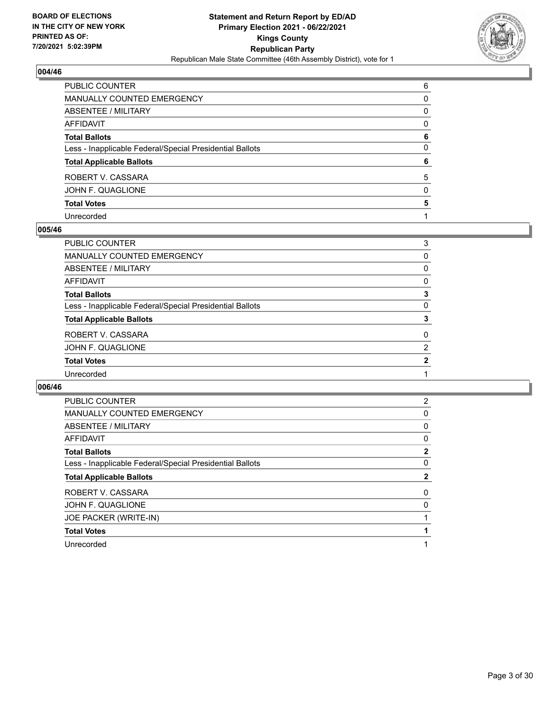

| PUBLIC COUNTER                                           | 6        |
|----------------------------------------------------------|----------|
| MANUALLY COUNTED EMERGENCY                               | 0        |
| ABSENTEE / MILITARY                                      | $\Omega$ |
| <b>AFFIDAVIT</b>                                         | $\Omega$ |
| <b>Total Ballots</b>                                     | 6        |
| Less - Inapplicable Federal/Special Presidential Ballots | $\Omega$ |
| <b>Total Applicable Ballots</b>                          | 6        |
| ROBERT V. CASSARA                                        | 5        |
| JOHN F. QUAGLIONE                                        | $\Omega$ |
| <b>Total Votes</b>                                       | 5        |
| Unrecorded                                               |          |

## **005/46**

| PUBLIC COUNTER                                           | 3             |
|----------------------------------------------------------|---------------|
| <b>MANUALLY COUNTED EMERGENCY</b>                        | $\Omega$      |
| ABSENTEE / MILITARY                                      | 0             |
| <b>AFFIDAVIT</b>                                         | 0             |
| <b>Total Ballots</b>                                     | 3             |
| Less - Inapplicable Federal/Special Presidential Ballots | $\Omega$      |
| <b>Total Applicable Ballots</b>                          | 3             |
| ROBERT V. CASSARA                                        | $\Omega$      |
| JOHN F. QUAGLIONE                                        | $\mathcal{P}$ |
| <b>Total Votes</b>                                       | $\mathbf{2}$  |
| Unrecorded                                               |               |
|                                                          |               |

| PUBLIC COUNTER                                           | 2 |
|----------------------------------------------------------|---|
| <b>MANUALLY COUNTED EMERGENCY</b>                        | 0 |
| ABSENTEE / MILITARY                                      | 0 |
| AFFIDAVIT                                                | 0 |
| <b>Total Ballots</b>                                     | 2 |
| Less - Inapplicable Federal/Special Presidential Ballots | 0 |
| <b>Total Applicable Ballots</b>                          | 2 |
| ROBERT V. CASSARA                                        | 0 |
| JOHN F. QUAGLIONE                                        | 0 |
| JOE PACKER (WRITE-IN)                                    |   |
| <b>Total Votes</b>                                       |   |
| Unrecorded                                               |   |
|                                                          |   |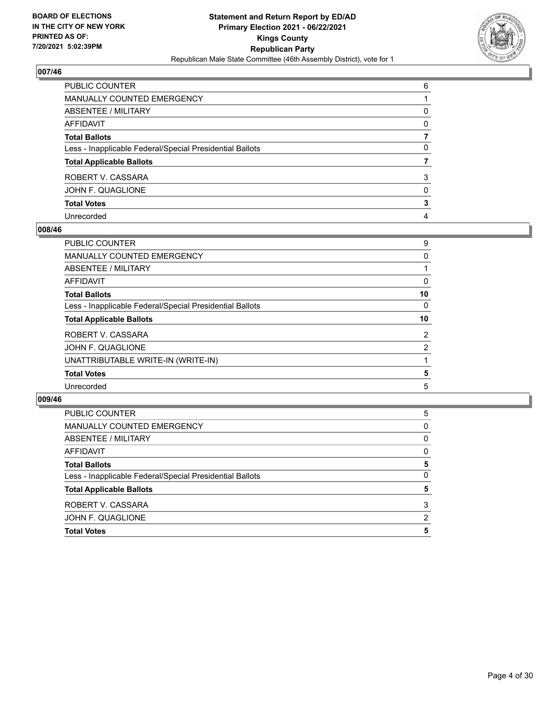

| PUBLIC COUNTER                                           | 6        |
|----------------------------------------------------------|----------|
| MANUALLY COUNTED EMERGENCY                               |          |
| ABSENTEE / MILITARY                                      | 0        |
| <b>AFFIDAVIT</b>                                         | $\Omega$ |
| <b>Total Ballots</b>                                     |          |
| Less - Inapplicable Federal/Special Presidential Ballots | 0        |
| <b>Total Applicable Ballots</b>                          |          |
| ROBERT V. CASSARA                                        | 3        |
| JOHN F. QUAGLIONE                                        | $\Omega$ |
| <b>Total Votes</b>                                       | 3        |
| Unrecorded                                               | 4        |

## **008/46**

| PUBLIC COUNTER                                           | 9        |
|----------------------------------------------------------|----------|
| <b>MANUALLY COUNTED EMERGENCY</b>                        | 0        |
| ABSENTEE / MILITARY                                      |          |
| <b>AFFIDAVIT</b>                                         | 0        |
| <b>Total Ballots</b>                                     | 10       |
| Less - Inapplicable Federal/Special Presidential Ballots | $\Omega$ |
| <b>Total Applicable Ballots</b>                          | 10       |
| ROBERT V. CASSARA                                        | 2        |
| JOHN F. QUAGLIONE                                        | 2        |
| UNATTRIBUTABLE WRITE-IN (WRITE-IN)                       |          |
| <b>Total Votes</b>                                       | 5        |
| Unrecorded                                               | 5        |
|                                                          |          |

| <b>Total Votes</b>                                       |          |
|----------------------------------------------------------|----------|
|                                                          | 5        |
| JOHN F. QUAGLIONE                                        | 2        |
| ROBERT V. CASSARA                                        | 3        |
| <b>Total Applicable Ballots</b>                          | 5        |
| Less - Inapplicable Federal/Special Presidential Ballots | 0        |
| <b>Total Ballots</b>                                     | 5        |
| AFFIDAVIT                                                | 0        |
| ABSENTEE / MILITARY                                      | 0        |
| MANUALLY COUNTED EMERGENCY                               | $\Omega$ |
| PUBLIC COUNTER                                           | 5        |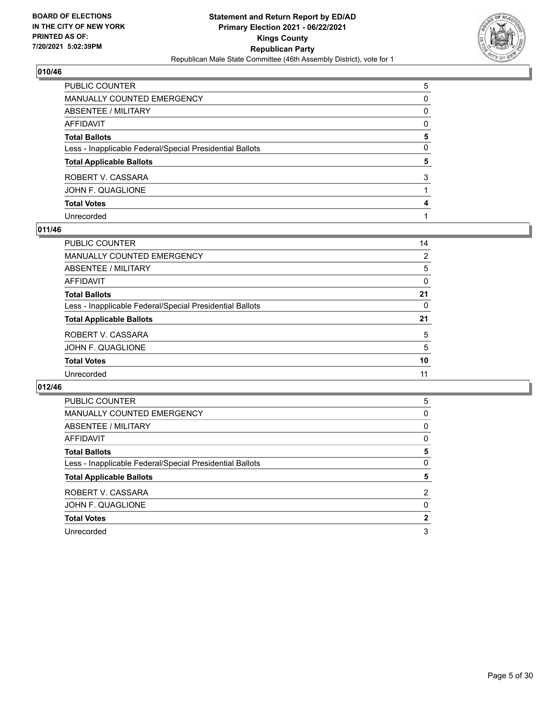

| PUBLIC COUNTER                                           | 5        |
|----------------------------------------------------------|----------|
| MANUALLY COUNTED EMERGENCY                               | 0        |
| ABSENTEE / MILITARY                                      | 0        |
| AFFIDAVIT                                                | $\Omega$ |
| Total Ballots                                            | 5        |
| Less - Inapplicable Federal/Special Presidential Ballots | $\Omega$ |
| <b>Total Applicable Ballots</b>                          | 5        |
| ROBERT V. CASSARA                                        | 3        |
| JOHN F. QUAGLIONE                                        |          |
| <b>Total Votes</b>                                       | 4        |
| Unrecorded                                               |          |

## **011/46**

| PUBLIC COUNTER                                           | 14             |
|----------------------------------------------------------|----------------|
| <b>MANUALLY COUNTED EMERGENCY</b>                        | $\overline{2}$ |
| ABSENTEE / MILITARY                                      | 5              |
| AFFIDAVIT                                                | $\Omega$       |
| <b>Total Ballots</b>                                     | 21             |
| Less - Inapplicable Federal/Special Presidential Ballots | $\Omega$       |
| <b>Total Applicable Ballots</b>                          | 21             |
| ROBERT V. CASSARA                                        | 5              |
| JOHN F. QUAGLIONE                                        | 5              |
| <b>Total Votes</b>                                       | 10             |
| Unrecorded                                               | 11             |
|                                                          |                |

| PUBLIC COUNTER                                           | 5              |
|----------------------------------------------------------|----------------|
| MANUALLY COUNTED EMERGENCY                               | 0              |
| ABSENTEE / MILITARY                                      | 0              |
| AFFIDAVIT                                                | 0              |
| <b>Total Ballots</b>                                     | 5              |
| Less - Inapplicable Federal/Special Presidential Ballots | 0              |
| <b>Total Applicable Ballots</b>                          | 5              |
|                                                          |                |
| ROBERT V. CASSARA                                        | $\overline{2}$ |
| JOHN F. QUAGLIONE                                        | $\Omega$       |
| <b>Total Votes</b>                                       | 2              |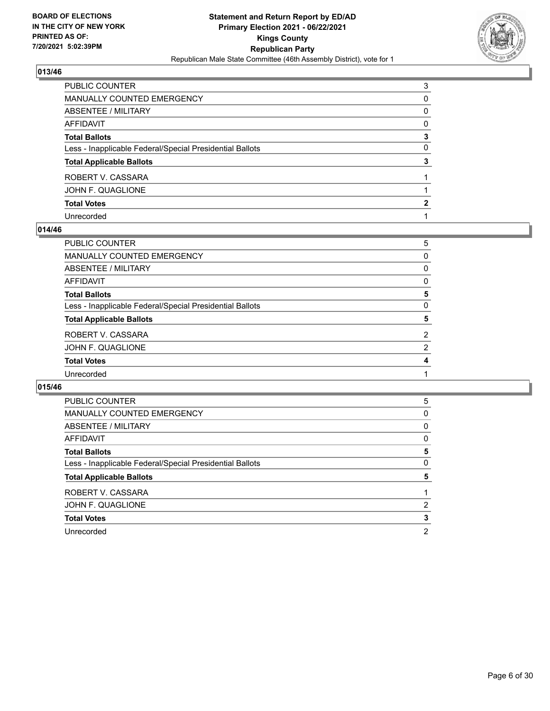

| PUBLIC COUNTER                                           | 3        |
|----------------------------------------------------------|----------|
| MANUALLY COUNTED EMERGENCY                               | 0        |
| ABSENTEE / MILITARY                                      | $\Omega$ |
| <b>AFFIDAVIT</b>                                         | $\Omega$ |
| <b>Total Ballots</b>                                     | 3        |
| Less - Inapplicable Federal/Special Presidential Ballots | $\Omega$ |
| <b>Total Applicable Ballots</b>                          | 3        |
| ROBERT V. CASSARA                                        |          |
| JOHN F. QUAGLIONE                                        |          |
| <b>Total Votes</b>                                       | 2        |
| Unrecorded                                               |          |

## **014/46**

| <b>PUBLIC COUNTER</b>                                    | 5        |
|----------------------------------------------------------|----------|
| <b>MANUALLY COUNTED EMERGENCY</b>                        | $\Omega$ |
| <b>ABSENTEE / MILITARY</b>                               | 0        |
| <b>AFFIDAVIT</b>                                         | 0        |
| <b>Total Ballots</b>                                     | 5        |
| Less - Inapplicable Federal/Special Presidential Ballots | $\Omega$ |
| <b>Total Applicable Ballots</b>                          | 5        |
| ROBERT V. CASSARA                                        | 2        |
| JOHN F. QUAGLIONE                                        | 2        |
| <b>Total Votes</b>                                       | 4        |
| Unrecorded                                               |          |
|                                                          |          |

| PUBLIC COUNTER                                           | 5 |
|----------------------------------------------------------|---|
| <b>MANUALLY COUNTED EMERGENCY</b>                        | 0 |
| ABSENTEE / MILITARY                                      | 0 |
| AFFIDAVIT                                                | 0 |
| <b>Total Ballots</b>                                     | 5 |
| Less - Inapplicable Federal/Special Presidential Ballots | 0 |
|                                                          |   |
| <b>Total Applicable Ballots</b>                          | 5 |
| ROBERT V. CASSARA                                        |   |
| JOHN F. QUAGLIONE                                        | 2 |
| <b>Total Votes</b>                                       | 3 |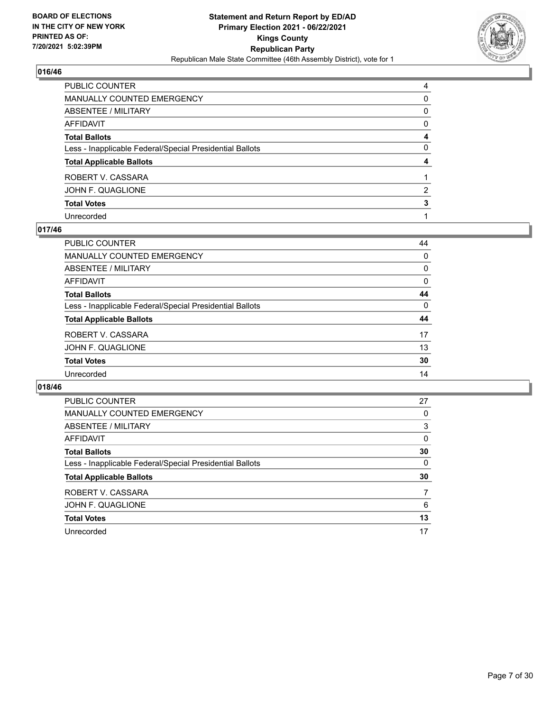

| PUBLIC COUNTER                                           | 4            |
|----------------------------------------------------------|--------------|
| MANUALLY COUNTED EMERGENCY                               | $\Omega$     |
| ABSENTEE / MILITARY                                      | 0            |
| AFFIDAVIT                                                | $\mathbf{0}$ |
| Total Ballots                                            | 4            |
| Less - Inapplicable Federal/Special Presidential Ballots | $\mathbf{0}$ |
| <b>Total Applicable Ballots</b>                          | 4            |
| ROBERT V. CASSARA                                        |              |
| JOHN F. QUAGLIONE                                        | 2            |
| <b>Total Votes</b>                                       | 3            |
| Unrecorded                                               |              |

# **017/46**

| <b>PUBLIC COUNTER</b>                                    | 44       |
|----------------------------------------------------------|----------|
| MANUALLY COUNTED EMERGENCY                               | 0        |
| ABSENTEE / MILITARY                                      | 0        |
| AFFIDAVIT                                                | $\Omega$ |
| <b>Total Ballots</b>                                     | 44       |
| Less - Inapplicable Federal/Special Presidential Ballots | $\Omega$ |
| <b>Total Applicable Ballots</b>                          | 44       |
| ROBERT V. CASSARA                                        | 17       |
| JOHN F. QUAGLIONE                                        | 13       |
| <b>Total Votes</b>                                       | 30       |
| Unrecorded                                               | 14       |
|                                                          |          |

| PUBLIC COUNTER                                           | 27       |
|----------------------------------------------------------|----------|
| <b>MANUALLY COUNTED EMERGENCY</b>                        | 0        |
| ABSENTEE / MILITARY                                      | 3        |
| AFFIDAVIT                                                | $\Omega$ |
| <b>Total Ballots</b>                                     | 30       |
| Less - Inapplicable Federal/Special Presidential Ballots | $\Omega$ |
| <b>Total Applicable Ballots</b>                          | 30       |
| ROBERT V. CASSARA                                        |          |
|                                                          |          |
| JOHN F. QUAGLIONE                                        | 6        |
| <b>Total Votes</b>                                       | 13       |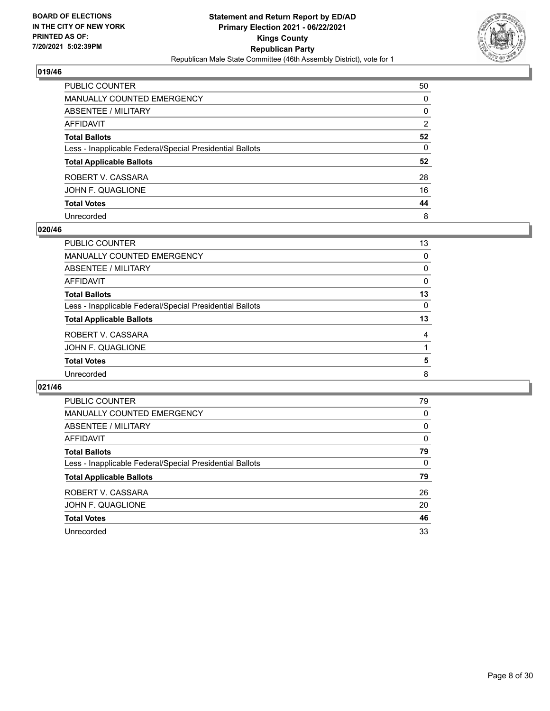

| PUBLIC COUNTER                                           | 50             |
|----------------------------------------------------------|----------------|
| MANUALLY COUNTED EMERGENCY                               | 0              |
| <b>ABSENTEE / MILITARY</b>                               | 0              |
| <b>AFFIDAVIT</b>                                         | $\overline{2}$ |
| <b>Total Ballots</b>                                     | 52             |
| Less - Inapplicable Federal/Special Presidential Ballots | 0              |
| <b>Total Applicable Ballots</b>                          | 52             |
| ROBERT V. CASSARA                                        | 28             |
| JOHN F. QUAGLIONE                                        | 16             |
| <b>Total Votes</b>                                       | 44             |
| Unrecorded                                               | 8              |

## **020/46**

| <b>PUBLIC COUNTER</b>                                    | 13       |
|----------------------------------------------------------|----------|
| MANUALLY COUNTED EMERGENCY                               | 0        |
| ABSENTEE / MILITARY                                      | 0        |
| AFFIDAVIT                                                | 0        |
| <b>Total Ballots</b>                                     | 13       |
| Less - Inapplicable Federal/Special Presidential Ballots | $\Omega$ |
| <b>Total Applicable Ballots</b>                          | 13       |
| ROBERT V. CASSARA                                        | 4        |
| JOHN F. QUAGLIONE                                        |          |
| <b>Total Votes</b>                                       | 5        |
| Unrecorded                                               | 8        |
|                                                          |          |

| PUBLIC COUNTER                                           | 79       |
|----------------------------------------------------------|----------|
| <b>MANUALLY COUNTED EMERGENCY</b>                        | 0        |
| ABSENTEE / MILITARY                                      | 0        |
| AFFIDAVIT                                                | $\Omega$ |
| <b>Total Ballots</b>                                     | 79       |
| Less - Inapplicable Federal/Special Presidential Ballots | $\Omega$ |
| <b>Total Applicable Ballots</b>                          | 79       |
| ROBERT V. CASSARA                                        | 26       |
| JOHN F. QUAGLIONE                                        | 20       |
| <b>Total Votes</b>                                       | 46       |
| Unrecorded                                               | 33       |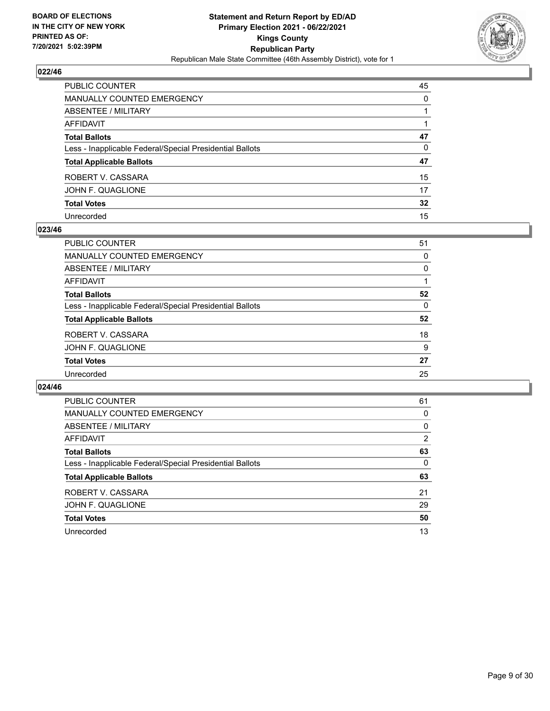

| PUBLIC COUNTER                                           | 45       |
|----------------------------------------------------------|----------|
| <b>MANUALLY COUNTED EMERGENCY</b>                        | $\Omega$ |
| ABSENTEE / MILITARY                                      |          |
| <b>AFFIDAVIT</b>                                         |          |
| <b>Total Ballots</b>                                     | 47       |
| Less - Inapplicable Federal/Special Presidential Ballots | 0        |
| <b>Total Applicable Ballots</b>                          | 47       |
| ROBERT V. CASSARA                                        | 15       |
| JOHN F. QUAGLIONE                                        | 17       |
| <b>Total Votes</b>                                       | 32       |
| Unrecorded                                               | 15       |

## **023/46**

| <b>PUBLIC COUNTER</b>                                    | 51       |
|----------------------------------------------------------|----------|
| MANUALLY COUNTED EMERGENCY                               | 0        |
| ABSENTEE / MILITARY                                      | $\Omega$ |
| AFFIDAVIT                                                |          |
| <b>Total Ballots</b>                                     | 52       |
| Less - Inapplicable Federal/Special Presidential Ballots | $\Omega$ |
| <b>Total Applicable Ballots</b>                          | 52       |
| ROBERT V. CASSARA                                        | 18       |
| JOHN F. QUAGLIONE                                        | 9        |
| <b>Total Votes</b>                                       | 27       |
| Unrecorded                                               | 25       |
|                                                          |          |

| <b>PUBLIC COUNTER</b>                                    | 61             |
|----------------------------------------------------------|----------------|
| <b>MANUALLY COUNTED EMERGENCY</b>                        | 0              |
| ABSENTEE / MILITARY                                      | 0              |
| AFFIDAVIT                                                | $\overline{2}$ |
| <b>Total Ballots</b>                                     | 63             |
| Less - Inapplicable Federal/Special Presidential Ballots | 0              |
| <b>Total Applicable Ballots</b>                          | 63             |
| ROBERT V. CASSARA                                        | 21             |
| JOHN F. QUAGLIONE                                        | 29             |
| <b>Total Votes</b>                                       | 50             |
| Unrecorded                                               | 13             |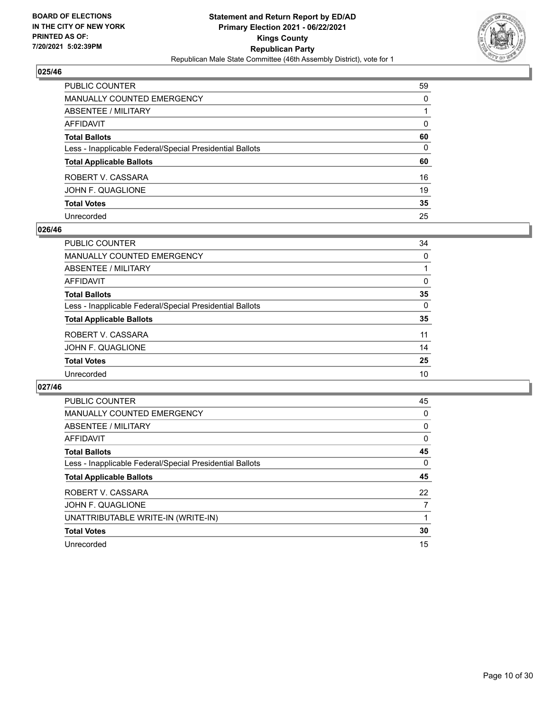

| PUBLIC COUNTER                                           | 59           |
|----------------------------------------------------------|--------------|
| <b>MANUALLY COUNTED EMERGENCY</b>                        | $\Omega$     |
| ABSENTEE / MILITARY                                      |              |
| <b>AFFIDAVIT</b>                                         | $\mathbf{0}$ |
| <b>Total Ballots</b>                                     | 60           |
| Less - Inapplicable Federal/Special Presidential Ballots | 0            |
| <b>Total Applicable Ballots</b>                          | 60           |
| ROBERT V. CASSARA                                        | 16           |
| JOHN F. QUAGLIONE                                        | 19           |
| <b>Total Votes</b>                                       | 35           |
| Unrecorded                                               | 25           |

## **026/46**

| PUBLIC COUNTER                                           | 34       |
|----------------------------------------------------------|----------|
| MANUALLY COUNTED EMERGENCY                               | $\Omega$ |
| ABSENTEE / MILITARY                                      |          |
| AFFIDAVIT                                                | $\Omega$ |
| <b>Total Ballots</b>                                     | 35       |
| Less - Inapplicable Federal/Special Presidential Ballots | $\Omega$ |
| <b>Total Applicable Ballots</b>                          | 35       |
| ROBERT V. CASSARA                                        | 11       |
| JOHN F. QUAGLIONE                                        | 14       |
| <b>Total Votes</b>                                       | 25       |
| Unrecorded                                               | 10       |
|                                                          |          |

| <b>PUBLIC COUNTER</b>                                    | 45 |
|----------------------------------------------------------|----|
| <b>MANUALLY COUNTED EMERGENCY</b>                        | 0  |
| ABSENTEE / MILITARY                                      | 0  |
| AFFIDAVIT                                                | 0  |
| <b>Total Ballots</b>                                     | 45 |
| Less - Inapplicable Federal/Special Presidential Ballots | 0  |
| <b>Total Applicable Ballots</b>                          | 45 |
| ROBERT V. CASSARA                                        | 22 |
| JOHN F. QUAGLIONE                                        | 7  |
| UNATTRIBUTABLE WRITE-IN (WRITE-IN)                       |    |
| <b>Total Votes</b>                                       | 30 |
|                                                          |    |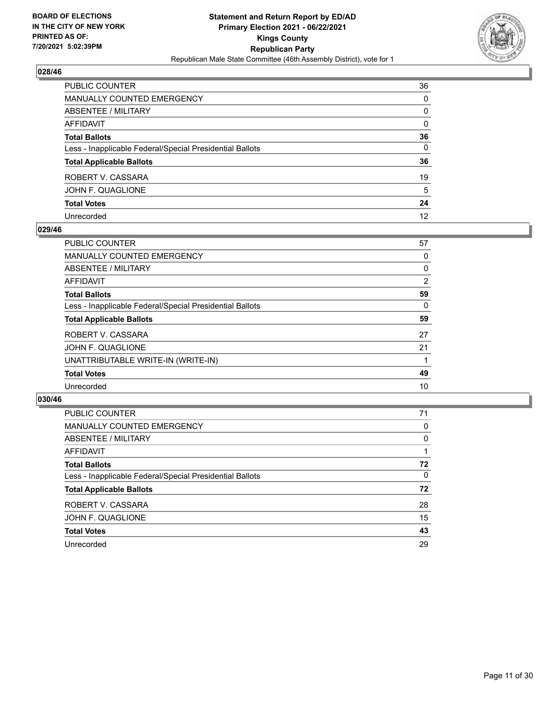

| PUBLIC COUNTER                                           | 36           |
|----------------------------------------------------------|--------------|
| MANUALLY COUNTED EMERGENCY                               | $\Omega$     |
| <b>ABSENTEE / MILITARY</b>                               | 0            |
| <b>AFFIDAVIT</b>                                         | $\mathbf{0}$ |
| <b>Total Ballots</b>                                     | 36           |
| Less - Inapplicable Federal/Special Presidential Ballots | $\mathbf{0}$ |
| <b>Total Applicable Ballots</b>                          | 36           |
| ROBERT V. CASSARA                                        | 19           |
| JOHN F. QUAGLIONE                                        | 5            |
| <b>Total Votes</b>                                       | 24           |
| Unrecorded                                               | 12           |

## **029/46**

| <b>PUBLIC COUNTER</b>                                    | 57 |
|----------------------------------------------------------|----|
| <b>MANUALLY COUNTED EMERGENCY</b>                        | 0  |
| ABSENTEE / MILITARY                                      | 0  |
| AFFIDAVIT                                                | 2  |
| <b>Total Ballots</b>                                     | 59 |
| Less - Inapplicable Federal/Special Presidential Ballots | 0  |
| <b>Total Applicable Ballots</b>                          | 59 |
| ROBERT V. CASSARA                                        | 27 |
| JOHN F. QUAGLIONE                                        | 21 |
| UNATTRIBUTABLE WRITE-IN (WRITE-IN)                       |    |
| <b>Total Votes</b>                                       | 49 |
| Unrecorded                                               | 10 |
|                                                          |    |

| PUBLIC COUNTER                                           | 71       |
|----------------------------------------------------------|----------|
| MANUALLY COUNTED EMERGENCY                               | 0        |
| ABSENTEE / MILITARY                                      | $\Omega$ |
| AFFIDAVIT                                                |          |
| <b>Total Ballots</b>                                     | 72       |
| Less - Inapplicable Federal/Special Presidential Ballots | $\Omega$ |
| <b>Total Applicable Ballots</b>                          | 72       |
| ROBERT V. CASSARA                                        | 28       |
| JOHN F. QUAGLIONE                                        | 15       |
| <b>Total Votes</b>                                       | 43       |
| Unrecorded                                               | 29       |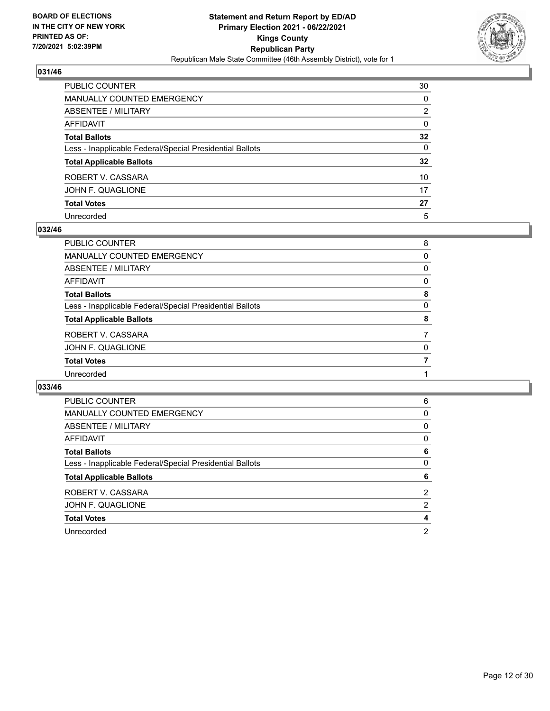

| PUBLIC COUNTER                                           | 30              |
|----------------------------------------------------------|-----------------|
| MANUALLY COUNTED EMERGENCY                               | 0               |
| ABSENTEE / MILITARY                                      | 2               |
| <b>AFFIDAVIT</b>                                         | $\Omega$        |
| <b>Total Ballots</b>                                     | $32\phantom{a}$ |
| Less - Inapplicable Federal/Special Presidential Ballots | 0               |
| <b>Total Applicable Ballots</b>                          | 32              |
| ROBERT V. CASSARA                                        | 10              |
| JOHN F. QUAGLIONE                                        | 17              |
| <b>Total Votes</b>                                       | 27              |
| Unrecorded                                               | 5               |

## **032/46**

| PUBLIC COUNTER                                           | 8        |
|----------------------------------------------------------|----------|
| <b>MANUALLY COUNTED EMERGENCY</b>                        | $\Omega$ |
| ABSENTEE / MILITARY                                      | 0        |
| <b>AFFIDAVIT</b>                                         | 0        |
| <b>Total Ballots</b>                                     | 8        |
| Less - Inapplicable Federal/Special Presidential Ballots | $\Omega$ |
| <b>Total Applicable Ballots</b>                          | 8        |
| ROBERT V. CASSARA                                        |          |
| JOHN F. QUAGLIONE                                        | 0        |
| <b>Total Votes</b>                                       |          |
| Unrecorded                                               |          |
|                                                          |          |

| PUBLIC COUNTER                                           | 6 |
|----------------------------------------------------------|---|
| MANUALLY COUNTED EMERGENCY                               | 0 |
| ABSENTEE / MILITARY                                      | 0 |
| AFFIDAVIT                                                | 0 |
| <b>Total Ballots</b>                                     | 6 |
| Less - Inapplicable Federal/Special Presidential Ballots | 0 |
|                                                          |   |
| <b>Total Applicable Ballots</b>                          | 6 |
| ROBERT V. CASSARA                                        | 2 |
| JOHN F. QUAGLIONE                                        | 2 |
| <b>Total Votes</b>                                       | 4 |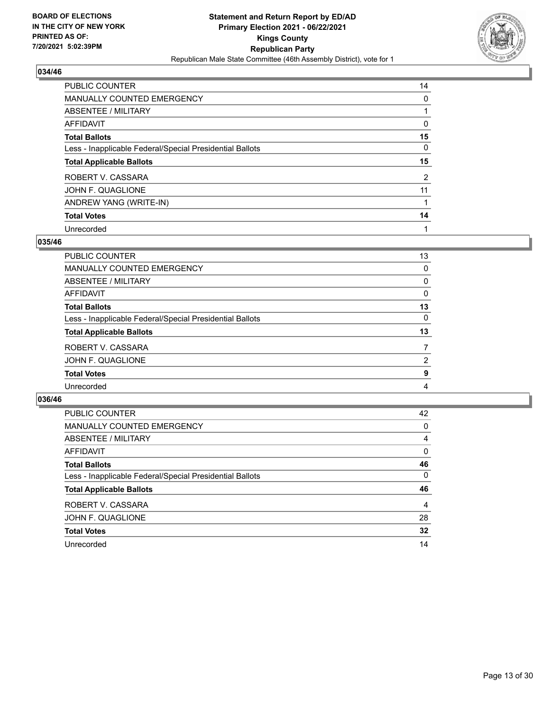

| <b>PUBLIC COUNTER</b>                                    | 14       |
|----------------------------------------------------------|----------|
| <b>MANUALLY COUNTED EMERGENCY</b>                        | 0        |
| ABSENTEE / MILITARY                                      |          |
| AFFIDAVIT                                                | $\Omega$ |
| <b>Total Ballots</b>                                     | 15       |
| Less - Inapplicable Federal/Special Presidential Ballots | $\Omega$ |
| <b>Total Applicable Ballots</b>                          | 15       |
| ROBERT V. CASSARA                                        | 2        |
| JOHN F. QUAGLIONE                                        | 11       |
| ANDREW YANG (WRITE-IN)                                   |          |
| <b>Total Votes</b>                                       |          |
|                                                          | 14       |

# **035/46**

| PUBLIC COUNTER                                           | 13             |
|----------------------------------------------------------|----------------|
| <b>MANUALLY COUNTED EMERGENCY</b>                        | 0              |
| ABSENTEE / MILITARY                                      | $\Omega$       |
| AFFIDAVIT                                                | 0              |
| <b>Total Ballots</b>                                     | 13             |
| Less - Inapplicable Federal/Special Presidential Ballots | $\Omega$       |
| <b>Total Applicable Ballots</b>                          | 13             |
| ROBERT V. CASSARA                                        |                |
| JOHN F. QUAGLIONE                                        | $\overline{2}$ |
| <b>Total Votes</b>                                       | 9              |
| Unrecorded                                               | 4              |

| <b>PUBLIC COUNTER</b>                                    | 42       |
|----------------------------------------------------------|----------|
| MANUALLY COUNTED EMERGENCY                               | $\Omega$ |
| ABSENTEE / MILITARY                                      | 4        |
| AFFIDAVIT                                                | $\Omega$ |
| <b>Total Ballots</b>                                     | 46       |
| Less - Inapplicable Federal/Special Presidential Ballots | $\Omega$ |
| <b>Total Applicable Ballots</b>                          | 46       |
| ROBERT V. CASSARA                                        | 4        |
| JOHN F. QUAGLIONE                                        | 28       |
| <b>Total Votes</b>                                       | 32       |
| Unrecorded                                               | 14       |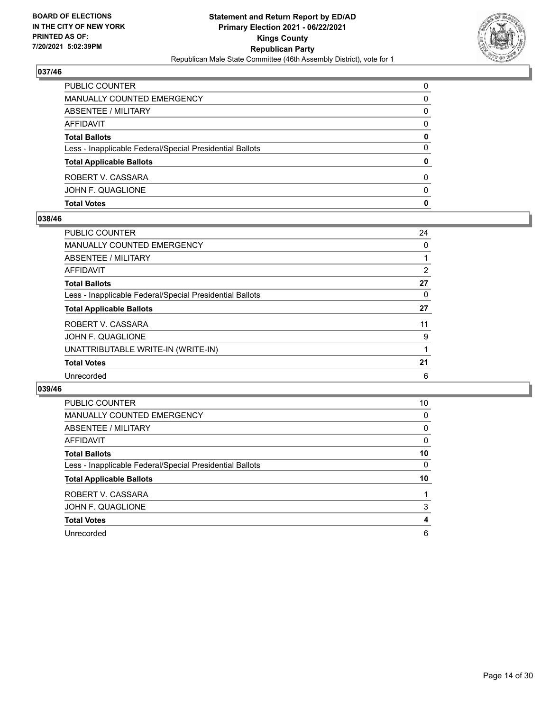

| <b>Total Votes</b>                                       | 0            |
|----------------------------------------------------------|--------------|
| JOHN F. QUAGLIONE                                        | <sup>0</sup> |
| ROBERT V. CASSARA                                        | 0            |
| <b>Total Applicable Ballots</b>                          | 0            |
| Less - Inapplicable Federal/Special Presidential Ballots | 0            |
| <b>Total Ballots</b>                                     | 0            |
| AFFIDAVIT                                                | $\Omega$     |
| ABSENTEE / MILITARY                                      | 0            |
| MANUALLY COUNTED EMERGENCY                               | 0            |
| PUBLIC COUNTER                                           | $\Omega$     |

# **038/46**

| PUBLIC COUNTER                                           | 24 |
|----------------------------------------------------------|----|
| <b>MANUALLY COUNTED EMERGENCY</b>                        | 0  |
| ABSENTEE / MILITARY                                      |    |
| <b>AFFIDAVIT</b>                                         | 2  |
| <b>Total Ballots</b>                                     | 27 |
| Less - Inapplicable Federal/Special Presidential Ballots | 0  |
| <b>Total Applicable Ballots</b>                          | 27 |
| ROBERT V. CASSARA                                        | 11 |
| JOHN F. QUAGLIONE                                        | 9  |
| UNATTRIBUTABLE WRITE-IN (WRITE-IN)                       | 1  |
| <b>Total Votes</b>                                       | 21 |
| Unrecorded                                               | 6  |

| PUBLIC COUNTER                                           | 10       |
|----------------------------------------------------------|----------|
| <b>MANUALLY COUNTED EMERGENCY</b>                        | 0        |
| ABSENTEE / MILITARY                                      | $\Omega$ |
| <b>AFFIDAVIT</b>                                         | 0        |
| <b>Total Ballots</b>                                     | 10       |
| Less - Inapplicable Federal/Special Presidential Ballots | $\Omega$ |
| <b>Total Applicable Ballots</b>                          | 10       |
| ROBERT V. CASSARA                                        |          |
| JOHN F. QUAGLIONE                                        | 3        |
| <b>Total Votes</b>                                       | 4        |
| Unrecorded                                               | 6        |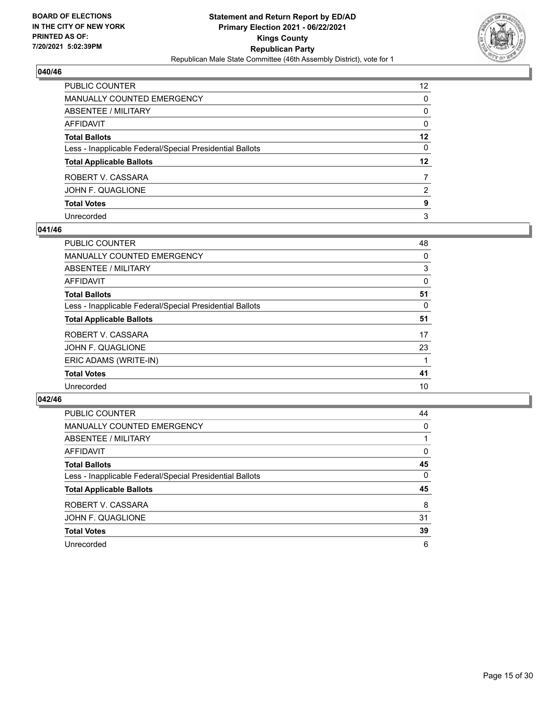

| PUBLIC COUNTER                                           | 12 <sup>2</sup> |
|----------------------------------------------------------|-----------------|
| MANUALLY COUNTED EMERGENCY                               | 0               |
| <b>ABSENTEE / MILITARY</b>                               | $\mathbf{0}$    |
| <b>AFFIDAVIT</b>                                         | $\mathbf{0}$    |
| <b>Total Ballots</b>                                     | $12 \,$         |
| Less - Inapplicable Federal/Special Presidential Ballots | 0               |
| <b>Total Applicable Ballots</b>                          | 12              |
| ROBERT V. CASSARA                                        | $\overline{7}$  |
| JOHN F. QUAGLIONE                                        | 2               |
| <b>Total Votes</b>                                       | 9               |
| Unrecorded                                               | 3               |

## **041/46**

| PUBLIC COUNTER                                           | 48 |
|----------------------------------------------------------|----|
| <b>MANUALLY COUNTED EMERGENCY</b>                        | 0  |
| ABSENTEE / MILITARY                                      | 3  |
| AFFIDAVIT                                                | 0  |
| <b>Total Ballots</b>                                     | 51 |
| Less - Inapplicable Federal/Special Presidential Ballots | 0  |
| <b>Total Applicable Ballots</b>                          | 51 |
| ROBERT V. CASSARA                                        | 17 |
| JOHN F. QUAGLIONE                                        | 23 |
| ERIC ADAMS (WRITE-IN)                                    |    |
| <b>Total Votes</b>                                       | 41 |
| Unrecorded                                               | 10 |
|                                                          |    |

| PUBLIC COUNTER                                           | 44       |
|----------------------------------------------------------|----------|
| MANUALLY COUNTED EMERGENCY                               | 0        |
| ABSENTEE / MILITARY                                      |          |
| AFFIDAVIT                                                | $\Omega$ |
| <b>Total Ballots</b>                                     | 45       |
| Less - Inapplicable Federal/Special Presidential Ballots | $\Omega$ |
| <b>Total Applicable Ballots</b>                          | 45       |
| ROBERT V. CASSARA                                        | 8        |
| JOHN F. QUAGLIONE                                        | 31       |
| <b>Total Votes</b>                                       | 39       |
| Unrecorded                                               | 6        |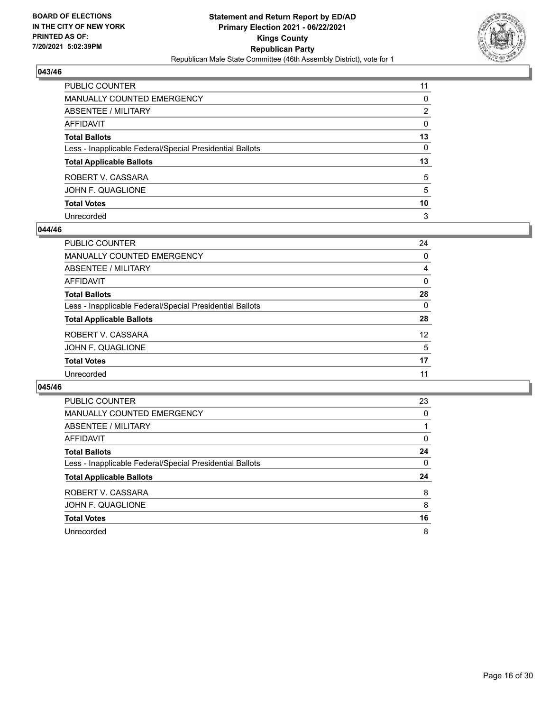

| PUBLIC COUNTER                                           | 11 |
|----------------------------------------------------------|----|
| <b>MANUALLY COUNTED EMERGENCY</b>                        | 0  |
| <b>ABSENTEE / MILITARY</b>                               | 2  |
| <b>AFFIDAVIT</b>                                         | 0  |
| <b>Total Ballots</b>                                     | 13 |
| Less - Inapplicable Federal/Special Presidential Ballots | 0  |
| <b>Total Applicable Ballots</b>                          | 13 |
| ROBERT V. CASSARA                                        | 5  |
| JOHN F. QUAGLIONE                                        | 5  |
| <b>Total Votes</b>                                       | 10 |
| Unrecorded                                               | 3  |

## **044/46**

| PUBLIC COUNTER                                           | 24       |
|----------------------------------------------------------|----------|
| MANUALLY COUNTED EMERGENCY                               | $\Omega$ |
| <b>ABSENTEE / MILITARY</b>                               | 4        |
| AFFIDAVIT                                                | 0        |
| <b>Total Ballots</b>                                     | 28       |
| Less - Inapplicable Federal/Special Presidential Ballots | $\Omega$ |
| <b>Total Applicable Ballots</b>                          | 28       |
| ROBERT V. CASSARA                                        | 12       |
| JOHN F. QUAGLIONE                                        | 5        |
| <b>Total Votes</b>                                       | 17       |
| Unrecorded                                               | 11       |
|                                                          |          |

| PUBLIC COUNTER                                           | 23       |
|----------------------------------------------------------|----------|
| <b>MANUALLY COUNTED EMERGENCY</b>                        | $\Omega$ |
| ABSENTEE / MILITARY                                      |          |
| AFFIDAVIT                                                | 0        |
| <b>Total Ballots</b>                                     | 24       |
| Less - Inapplicable Federal/Special Presidential Ballots | 0        |
| <b>Total Applicable Ballots</b>                          | 24       |
| ROBERT V. CASSARA                                        | 8        |
| JOHN F. QUAGLIONE                                        | 8        |
| <b>Total Votes</b>                                       | 16       |
| Unrecorded                                               | 8        |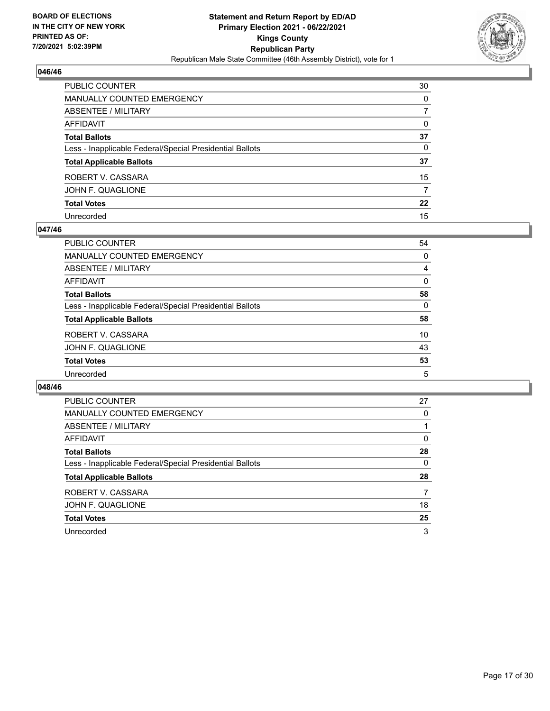

| PUBLIC COUNTER                                           | 30 |
|----------------------------------------------------------|----|
| MANUALLY COUNTED EMERGENCY                               | 0  |
| ABSENTEE / MILITARY                                      |    |
| AFFIDAVIT                                                | 0  |
| <b>Total Ballots</b>                                     | 37 |
| Less - Inapplicable Federal/Special Presidential Ballots | 0  |
| <b>Total Applicable Ballots</b>                          | 37 |
| ROBERT V. CASSARA                                        | 15 |
| JOHN F. QUAGLIONE                                        | 7  |
| <b>Total Votes</b>                                       | 22 |
| Unrecorded                                               | 15 |

## **047/46**

| PUBLIC COUNTER                                           | 54 |
|----------------------------------------------------------|----|
| <b>MANUALLY COUNTED EMERGENCY</b>                        | 0  |
| ABSENTEE / MILITARY                                      | 4  |
| AFFIDAVIT                                                | 0  |
| <b>Total Ballots</b>                                     | 58 |
| Less - Inapplicable Federal/Special Presidential Ballots | 0  |
| <b>Total Applicable Ballots</b>                          | 58 |
| ROBERT V. CASSARA                                        | 10 |
| JOHN F. QUAGLIONE                                        | 43 |
| <b>Total Votes</b>                                       | 53 |
| Unrecorded                                               | 5  |

| <b>PUBLIC COUNTER</b>                                    | 27 |
|----------------------------------------------------------|----|
| <b>MANUALLY COUNTED EMERGENCY</b>                        | 0  |
| ABSENTEE / MILITARY                                      |    |
| <b>AFFIDAVIT</b>                                         | 0  |
| <b>Total Ballots</b>                                     | 28 |
| Less - Inapplicable Federal/Special Presidential Ballots | 0  |
| <b>Total Applicable Ballots</b>                          | 28 |
| ROBERT V. CASSARA                                        | 7  |
| JOHN F. QUAGLIONE                                        | 18 |
| <b>Total Votes</b>                                       | 25 |
| Unrecorded                                               | 3  |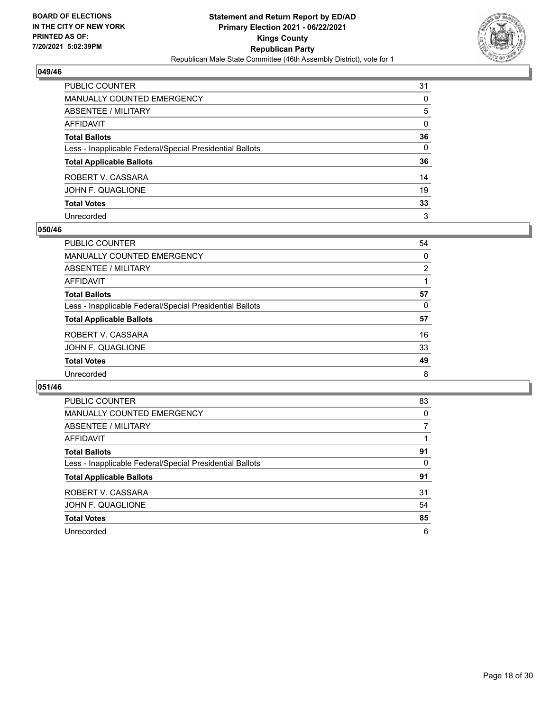

| PUBLIC COUNTER                                           | 31 |
|----------------------------------------------------------|----|
| <b>MANUALLY COUNTED EMERGENCY</b>                        | 0  |
| <b>ABSENTEE / MILITARY</b>                               | 5  |
| <b>AFFIDAVIT</b>                                         | 0  |
| <b>Total Ballots</b>                                     | 36 |
| Less - Inapplicable Federal/Special Presidential Ballots | 0  |
| <b>Total Applicable Ballots</b>                          | 36 |
| ROBERT V. CASSARA                                        | 14 |
| JOHN F. QUAGLIONE                                        | 19 |
| <b>Total Votes</b>                                       | 33 |
| Unrecorded                                               | 3  |

## **050/46**

| PUBLIC COUNTER                                           | 54       |
|----------------------------------------------------------|----------|
| <b>MANUALLY COUNTED EMERGENCY</b>                        | $\Omega$ |
| ABSENTEE / MILITARY                                      | 2        |
| AFFIDAVIT                                                |          |
| <b>Total Ballots</b>                                     | 57       |
| Less - Inapplicable Federal/Special Presidential Ballots | $\Omega$ |
| <b>Total Applicable Ballots</b>                          | 57       |
| ROBERT V. CASSARA                                        | 16       |
| JOHN F. QUAGLIONE                                        | 33       |
| <b>Total Votes</b>                                       | 49       |
| Unrecorded                                               | 8        |

| <b>PUBLIC COUNTER</b>                                    | 83 |
|----------------------------------------------------------|----|
| MANUALLY COUNTED EMERGENCY                               | 0  |
| ABSENTEE / MILITARY                                      | 7  |
| AFFIDAVIT                                                |    |
| <b>Total Ballots</b>                                     | 91 |
| Less - Inapplicable Federal/Special Presidential Ballots | 0  |
| <b>Total Applicable Ballots</b>                          | 91 |
| ROBERT V. CASSARA                                        | 31 |
| JOHN F. QUAGLIONE                                        | 54 |
| <b>Total Votes</b>                                       | 85 |
| Unrecorded                                               | 6  |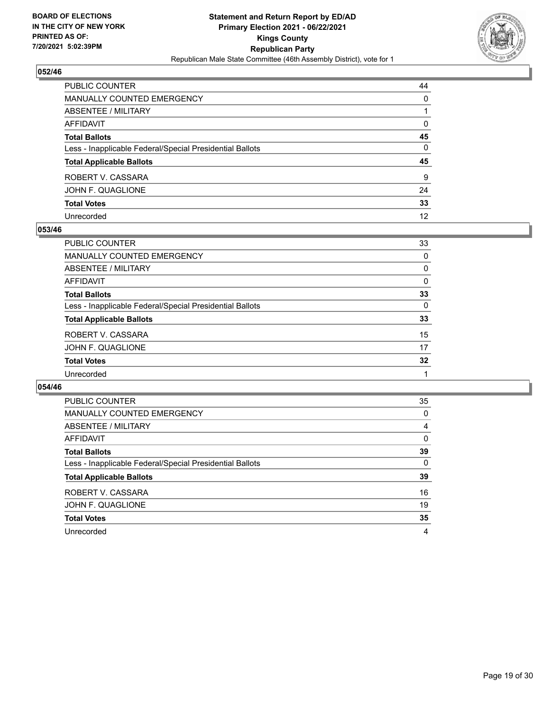

| PUBLIC COUNTER                                           | 44 |
|----------------------------------------------------------|----|
| MANUALLY COUNTED EMERGENCY                               | 0  |
| <b>ABSENTEE / MILITARY</b>                               |    |
| <b>AFFIDAVIT</b>                                         | 0  |
| <b>Total Ballots</b>                                     | 45 |
| Less - Inapplicable Federal/Special Presidential Ballots | 0  |
| <b>Total Applicable Ballots</b>                          | 45 |
| ROBERT V. CASSARA                                        | 9  |
| JOHN F. QUAGLIONE                                        | 24 |
| <b>Total Votes</b>                                       | 33 |
| Unrecorded                                               | 12 |

## **053/46**

| PUBLIC COUNTER                                           | 33       |
|----------------------------------------------------------|----------|
| <b>MANUALLY COUNTED EMERGENCY</b>                        | 0        |
| ABSENTEE / MILITARY                                      | 0        |
| AFFIDAVIT                                                | 0        |
| <b>Total Ballots</b>                                     | 33       |
| Less - Inapplicable Federal/Special Presidential Ballots | $\Omega$ |
| <b>Total Applicable Ballots</b>                          | 33       |
| ROBERT V. CASSARA                                        | 15       |
| JOHN F. QUAGLIONE                                        | 17       |
| <b>Total Votes</b>                                       | 32       |
| Unrecorded                                               |          |

| <b>PUBLIC COUNTER</b>                                    | 35 |
|----------------------------------------------------------|----|
| MANUALLY COUNTED EMERGENCY                               | 0  |
| ABSENTEE / MILITARY                                      | 4  |
| AFFIDAVIT                                                | 0  |
| <b>Total Ballots</b>                                     | 39 |
| Less - Inapplicable Federal/Special Presidential Ballots | 0  |
| <b>Total Applicable Ballots</b>                          | 39 |
| ROBERT V. CASSARA                                        | 16 |
| JOHN F. QUAGLIONE                                        | 19 |
| <b>Total Votes</b>                                       | 35 |
| Unrecorded                                               | 4  |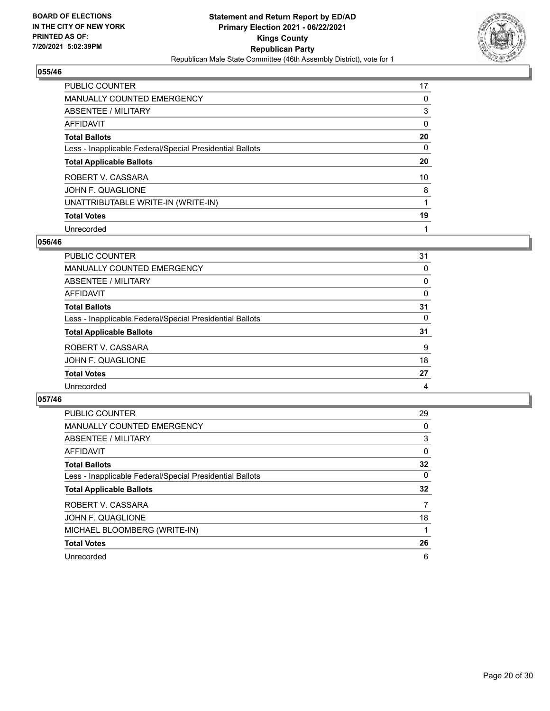

| <b>PUBLIC COUNTER</b>                                    | 17 |
|----------------------------------------------------------|----|
| <b>MANUALLY COUNTED EMERGENCY</b>                        | 0  |
| ABSENTEE / MILITARY                                      | 3  |
| AFFIDAVIT                                                | 0  |
| <b>Total Ballots</b>                                     | 20 |
| Less - Inapplicable Federal/Special Presidential Ballots | 0  |
| <b>Total Applicable Ballots</b>                          | 20 |
| ROBERT V. CASSARA                                        | 10 |
| JOHN F. QUAGLIONE                                        | 8  |
| UNATTRIBUTABLE WRITE-IN (WRITE-IN)                       |    |
| <b>Total Votes</b>                                       | 19 |
| Unrecorded                                               |    |

# **056/46**

| PUBLIC COUNTER                                           | 31       |
|----------------------------------------------------------|----------|
| MANUALLY COUNTED EMERGENCY                               | 0        |
| ABSENTEE / MILITARY                                      | $\Omega$ |
| AFFIDAVIT                                                | 0        |
| <b>Total Ballots</b>                                     | 31       |
| Less - Inapplicable Federal/Special Presidential Ballots | $\Omega$ |
| <b>Total Applicable Ballots</b>                          | 31       |
| ROBERT V. CASSARA                                        | 9        |
| JOHN F. QUAGLIONE                                        | 18       |
| <b>Total Votes</b>                                       | 27       |
| Unrecorded                                               | 4        |

| <b>PUBLIC COUNTER</b>                                    | 29       |
|----------------------------------------------------------|----------|
| <b>MANUALLY COUNTED EMERGENCY</b>                        | 0        |
| ABSENTEE / MILITARY                                      | 3        |
| <b>AFFIDAVIT</b>                                         | 0        |
| <b>Total Ballots</b>                                     | 32       |
| Less - Inapplicable Federal/Special Presidential Ballots | $\Omega$ |
| <b>Total Applicable Ballots</b>                          | 32       |
| ROBERT V. CASSARA                                        | 7        |
| JOHN F. QUAGLIONE                                        | 18       |
| MICHAEL BLOOMBERG (WRITE-IN)                             |          |
| <b>Total Votes</b>                                       | 26       |
| Unrecorded                                               | 6        |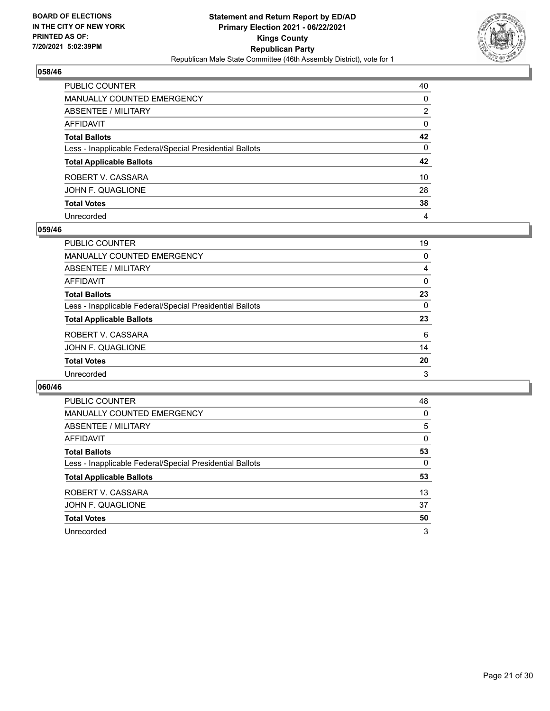

| PUBLIC COUNTER                                           | 40 |
|----------------------------------------------------------|----|
| <b>MANUALLY COUNTED EMERGENCY</b>                        | 0  |
| <b>ABSENTEE / MILITARY</b>                               | 2  |
| <b>AFFIDAVIT</b>                                         | 0  |
| <b>Total Ballots</b>                                     | 42 |
| Less - Inapplicable Federal/Special Presidential Ballots | 0  |
| <b>Total Applicable Ballots</b>                          | 42 |
| ROBERT V. CASSARA                                        | 10 |
| JOHN F. QUAGLIONE                                        | 28 |
| <b>Total Votes</b>                                       | 38 |
| Unrecorded                                               | 4  |

## **059/46**

| PUBLIC COUNTER                                           | 19       |
|----------------------------------------------------------|----------|
| <b>MANUALLY COUNTED EMERGENCY</b>                        | $\Omega$ |
| <b>ABSENTEE / MILITARY</b>                               | 4        |
| AFFIDAVIT                                                | 0        |
| <b>Total Ballots</b>                                     | 23       |
| Less - Inapplicable Federal/Special Presidential Ballots | $\Omega$ |
| <b>Total Applicable Ballots</b>                          | 23       |
| ROBERT V. CASSARA                                        | 6        |
| JOHN F. QUAGLIONE                                        | 14       |
| <b>Total Votes</b>                                       | 20       |
| Unrecorded                                               | 3        |

| <b>PUBLIC COUNTER</b>                                    | 48       |
|----------------------------------------------------------|----------|
| <b>MANUALLY COUNTED EMERGENCY</b>                        | $\Omega$ |
| ABSENTEE / MILITARY                                      | 5        |
| AFFIDAVIT                                                | $\Omega$ |
| <b>Total Ballots</b>                                     | 53       |
| Less - Inapplicable Federal/Special Presidential Ballots | $\Omega$ |
| <b>Total Applicable Ballots</b>                          | 53       |
| ROBERT V. CASSARA                                        | 13       |
| JOHN F. QUAGLIONE                                        | 37       |
| <b>Total Votes</b>                                       |          |
|                                                          | 50       |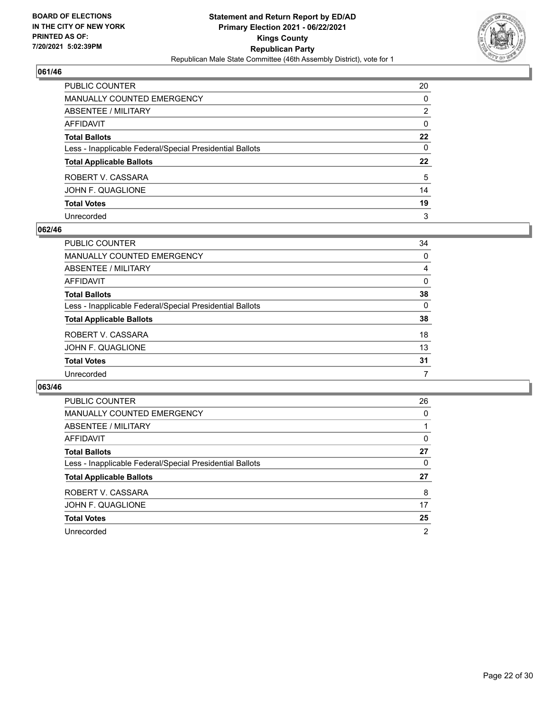

| PUBLIC COUNTER                                           | 20 |
|----------------------------------------------------------|----|
| MANUALLY COUNTED EMERGENCY                               | 0  |
| <b>ABSENTEE / MILITARY</b>                               | 2  |
| <b>AFFIDAVIT</b>                                         | 0  |
| <b>Total Ballots</b>                                     | 22 |
| Less - Inapplicable Federal/Special Presidential Ballots | 0  |
| <b>Total Applicable Ballots</b>                          | 22 |
| ROBERT V. CASSARA                                        | 5  |
| JOHN F. QUAGLIONE                                        | 14 |
| <b>Total Votes</b>                                       | 19 |
| Unrecorded                                               | 3  |

## **062/46**

| PUBLIC COUNTER                                           | 34       |
|----------------------------------------------------------|----------|
| <b>MANUALLY COUNTED EMERGENCY</b>                        | $\Omega$ |
| ABSENTEE / MILITARY                                      | 4        |
| AFFIDAVIT                                                | $\Omega$ |
| <b>Total Ballots</b>                                     | 38       |
| Less - Inapplicable Federal/Special Presidential Ballots | $\Omega$ |
| <b>Total Applicable Ballots</b>                          | 38       |
| ROBERT V. CASSARA                                        | 18       |
| JOHN F. QUAGLIONE                                        | 13       |
| <b>Total Votes</b>                                       | 31       |
| Unrecorded                                               |          |
|                                                          |          |

| <b>PUBLIC COUNTER</b>                                    | 26             |
|----------------------------------------------------------|----------------|
| <b>MANUALLY COUNTED EMERGENCY</b>                        | 0              |
| ABSENTEE / MILITARY                                      |                |
| AFFIDAVIT                                                | $\Omega$       |
| <b>Total Ballots</b>                                     | 27             |
| Less - Inapplicable Federal/Special Presidential Ballots | 0              |
| <b>Total Applicable Ballots</b>                          | 27             |
| ROBERT V. CASSARA                                        | 8              |
| JOHN F. QUAGLIONE                                        | 17             |
| <b>Total Votes</b>                                       | 25             |
| Unrecorded                                               | $\overline{2}$ |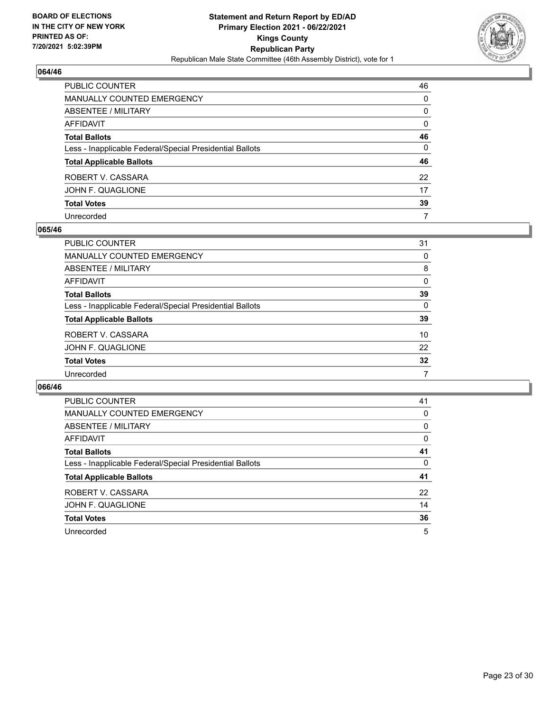

| PUBLIC COUNTER                                           | 46       |
|----------------------------------------------------------|----------|
| MANUALLY COUNTED EMERGENCY                               | 0        |
| <b>ABSENTEE / MILITARY</b>                               | 0        |
| <b>AFFIDAVIT</b>                                         | $\Omega$ |
| <b>Total Ballots</b>                                     | 46       |
| Less - Inapplicable Federal/Special Presidential Ballots | 0        |
| <b>Total Applicable Ballots</b>                          | 46       |
| ROBERT V. CASSARA                                        | 22       |
| JOHN F. QUAGLIONE                                        | 17       |
| <b>Total Votes</b>                                       | 39       |
| Unrecorded                                               | 7        |

## **065/46**

| PUBLIC COUNTER                                           | 31       |
|----------------------------------------------------------|----------|
| <b>MANUALLY COUNTED EMERGENCY</b>                        | $\Omega$ |
| <b>ABSENTEE / MILITARY</b>                               | 8        |
| AFFIDAVIT                                                | 0        |
| <b>Total Ballots</b>                                     | 39       |
| Less - Inapplicable Federal/Special Presidential Ballots | $\Omega$ |
| <b>Total Applicable Ballots</b>                          | 39       |
| ROBERT V. CASSARA                                        | 10       |
| JOHN F. QUAGLIONE                                        | 22       |
| <b>Total Votes</b>                                       | 32       |
| Unrecorded                                               | 7        |

| <b>PUBLIC COUNTER</b>                                    | 41       |
|----------------------------------------------------------|----------|
| <b>MANUALLY COUNTED EMERGENCY</b>                        | 0        |
| ABSENTEE / MILITARY                                      | $\Omega$ |
| <b>AFFIDAVIT</b>                                         | $\Omega$ |
| <b>Total Ballots</b>                                     | 41       |
| Less - Inapplicable Federal/Special Presidential Ballots | 0        |
| <b>Total Applicable Ballots</b>                          | 41       |
| ROBERT V. CASSARA                                        | 22       |
| JOHN F. QUAGLIONE                                        | 14       |
| <b>Total Votes</b>                                       | 36       |
| Unrecorded                                               | 5        |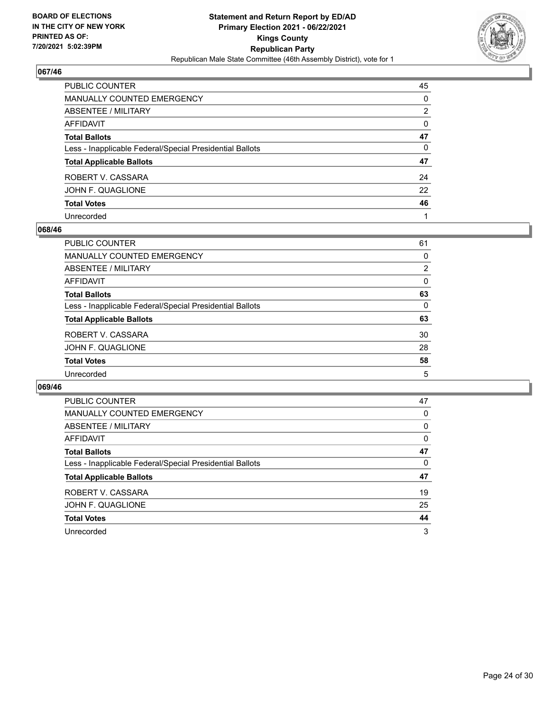

| PUBLIC COUNTER                                           | 45       |
|----------------------------------------------------------|----------|
| MANUALLY COUNTED EMERGENCY                               | $\Omega$ |
| <b>ABSENTEE / MILITARY</b>                               | 2        |
| <b>AFFIDAVIT</b>                                         | $\Omega$ |
| <b>Total Ballots</b>                                     | 47       |
| Less - Inapplicable Federal/Special Presidential Ballots | 0        |
| <b>Total Applicable Ballots</b>                          | 47       |
| ROBERT V. CASSARA                                        | 24       |
| JOHN F. QUAGLIONE                                        | 22       |
| <b>Total Votes</b>                                       | 46       |
| Unrecorded                                               |          |

## **068/46**

| PUBLIC COUNTER                                           | 61             |
|----------------------------------------------------------|----------------|
| <b>MANUALLY COUNTED EMERGENCY</b>                        | $\Omega$       |
| <b>ABSENTEE / MILITARY</b>                               | $\overline{2}$ |
| AFFIDAVIT                                                | 0              |
| <b>Total Ballots</b>                                     | 63             |
| Less - Inapplicable Federal/Special Presidential Ballots | $\Omega$       |
| <b>Total Applicable Ballots</b>                          | 63             |
| ROBERT V. CASSARA                                        | 30             |
| JOHN F. QUAGLIONE                                        | 28             |
| <b>Total Votes</b>                                       | 58             |
| Unrecorded                                               | 5              |

| <b>PUBLIC COUNTER</b>                                    | 47       |
|----------------------------------------------------------|----------|
| <b>MANUALLY COUNTED EMERGENCY</b>                        | 0        |
| <b>ABSENTEE / MILITARY</b>                               | $\Omega$ |
| AFFIDAVIT                                                | 0        |
| <b>Total Ballots</b>                                     | 47       |
| Less - Inapplicable Federal/Special Presidential Ballots | 0        |
| <b>Total Applicable Ballots</b>                          | 47       |
| ROBERT V. CASSARA                                        | 19       |
| JOHN F. QUAGLIONE                                        | 25       |
| <b>Total Votes</b>                                       | 44       |
| Unrecorded                                               |          |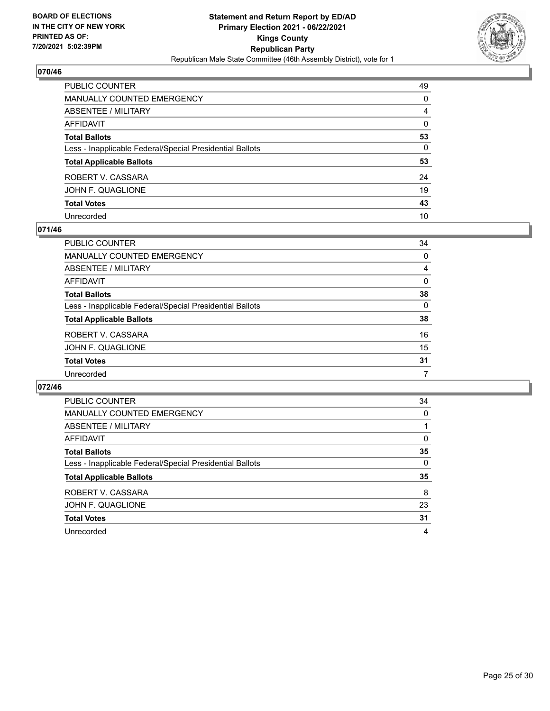

| PUBLIC COUNTER                                           | 49       |
|----------------------------------------------------------|----------|
| <b>MANUALLY COUNTED EMERGENCY</b>                        | $\Omega$ |
| ABSENTEE / MILITARY                                      | 4        |
| <b>AFFIDAVIT</b>                                         | 0        |
| <b>Total Ballots</b>                                     | 53       |
| Less - Inapplicable Federal/Special Presidential Ballots | $\Omega$ |
| <b>Total Applicable Ballots</b>                          | 53       |
| ROBERT V. CASSARA                                        | 24       |
| JOHN F. QUAGLIONE                                        | 19       |
| <b>Total Votes</b>                                       | 43       |
| Unrecorded                                               | 10       |

## **071/46**

| PUBLIC COUNTER                                           | 34       |
|----------------------------------------------------------|----------|
| MANUALLY COUNTED EMERGENCY                               | 0        |
| ABSENTEE / MILITARY                                      | 4        |
| AFFIDAVIT                                                | 0        |
| <b>Total Ballots</b>                                     | 38       |
| Less - Inapplicable Federal/Special Presidential Ballots | $\Omega$ |
| <b>Total Applicable Ballots</b>                          | 38       |
| ROBERT V. CASSARA                                        | 16       |
| JOHN F. QUAGLIONE                                        | 15       |
| <b>Total Votes</b>                                       | 31       |
| Unrecorded                                               |          |

| <b>PUBLIC COUNTER</b>                                    | 34 |
|----------------------------------------------------------|----|
| <b>MANUALLY COUNTED EMERGENCY</b>                        | 0  |
| ABSENTEE / MILITARY                                      |    |
| AFFIDAVIT                                                | 0  |
| <b>Total Ballots</b>                                     | 35 |
| Less - Inapplicable Federal/Special Presidential Ballots | 0  |
| <b>Total Applicable Ballots</b>                          | 35 |
| ROBERT V. CASSARA                                        | 8  |
| JOHN F. QUAGLIONE                                        | 23 |
| <b>Total Votes</b>                                       | 31 |
| Unrecorded                                               | 4  |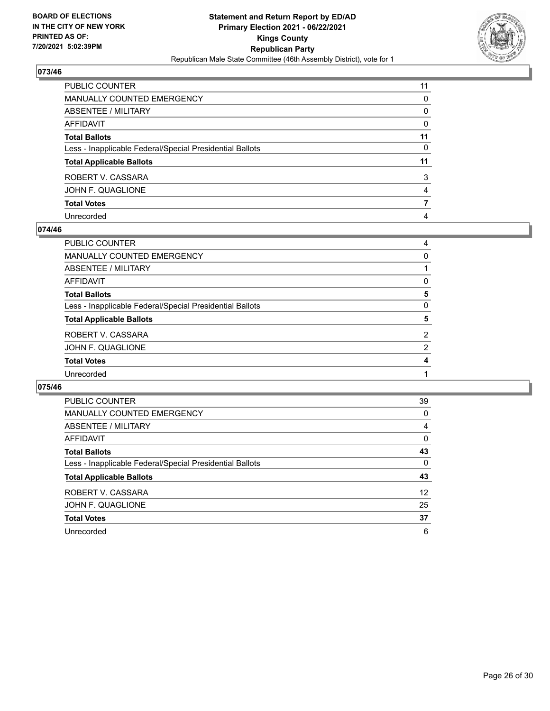

| PUBLIC COUNTER                                           | 11       |
|----------------------------------------------------------|----------|
| MANUALLY COUNTED EMERGENCY                               | 0        |
| <b>ABSENTEE / MILITARY</b>                               | $\Omega$ |
| <b>AFFIDAVIT</b>                                         | $\Omega$ |
| <b>Total Ballots</b>                                     | 11       |
| Less - Inapplicable Federal/Special Presidential Ballots | 0        |
| <b>Total Applicable Ballots</b>                          | 11       |
| ROBERT V. CASSARA                                        | 3        |
| JOHN F. QUAGLIONE                                        | 4        |
| <b>Total Votes</b>                                       |          |
| Unrecorded                                               | 4        |

## **074/46**

| PUBLIC COUNTER                                           | 4              |
|----------------------------------------------------------|----------------|
| <b>MANUALLY COUNTED EMERGENCY</b>                        | $\Omega$       |
| ABSENTEE / MILITARY                                      |                |
| <b>AFFIDAVIT</b>                                         | 0              |
| <b>Total Ballots</b>                                     | 5              |
| Less - Inapplicable Federal/Special Presidential Ballots | $\Omega$       |
| <b>Total Applicable Ballots</b>                          | 5              |
| ROBERT V. CASSARA                                        | $\overline{2}$ |
| JOHN F. QUAGLIONE                                        | 2              |
| <b>Total Votes</b>                                       | 4              |
| Unrecorded                                               |                |
|                                                          |                |

| <b>PUBLIC COUNTER</b>                                    | 39 |
|----------------------------------------------------------|----|
| <b>MANUALLY COUNTED EMERGENCY</b>                        | 0  |
| ABSENTEE / MILITARY                                      | 4  |
| AFFIDAVIT                                                | 0  |
| <b>Total Ballots</b>                                     | 43 |
| Less - Inapplicable Federal/Special Presidential Ballots | 0  |
| <b>Total Applicable Ballots</b>                          | 43 |
| ROBERT V. CASSARA                                        | 12 |
| JOHN F. QUAGLIONE                                        | 25 |
| <b>Total Votes</b>                                       | 37 |
| Unrecorded                                               | 6  |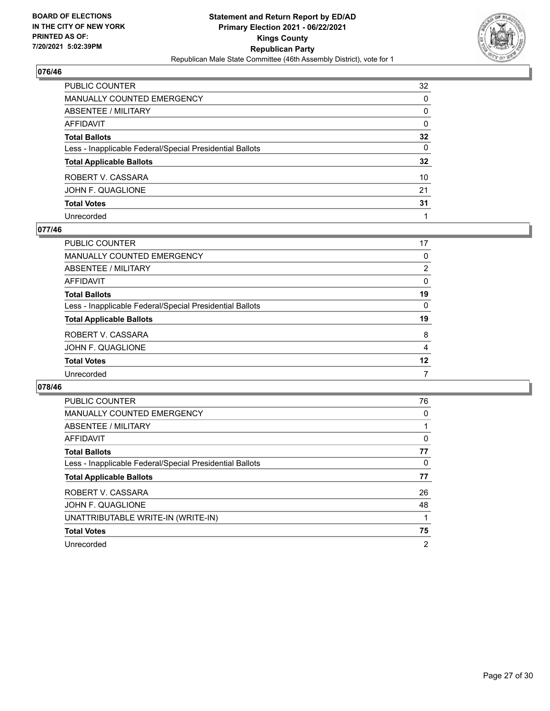

| PUBLIC COUNTER                                           | 32              |
|----------------------------------------------------------|-----------------|
| <b>MANUALLY COUNTED EMERGENCY</b>                        | 0               |
| <b>ABSENTEE / MILITARY</b>                               | 0               |
| <b>AFFIDAVIT</b>                                         | $\Omega$        |
| <b>Total Ballots</b>                                     | 32              |
| Less - Inapplicable Federal/Special Presidential Ballots | $\mathbf{0}$    |
| <b>Total Applicable Ballots</b>                          | $32\phantom{a}$ |
| ROBERT V. CASSARA                                        | 10              |
| JOHN F. QUAGLIONE                                        | 21              |
| <b>Total Votes</b>                                       | 31              |
| Unrecorded                                               |                 |

# **077/46**

| PUBLIC COUNTER                                           | 17             |
|----------------------------------------------------------|----------------|
| MANUALLY COUNTED EMERGENCY                               | 0              |
| <b>ABSENTEE / MILITARY</b>                               | $\overline{2}$ |
| AFFIDAVIT                                                | $\Omega$       |
| <b>Total Ballots</b>                                     | 19             |
| Less - Inapplicable Federal/Special Presidential Ballots | $\Omega$       |
| <b>Total Applicable Ballots</b>                          | 19             |
| ROBERT V. CASSARA                                        | 8              |
| JOHN F. QUAGLIONE                                        | 4              |
| <b>Total Votes</b>                                       | 12             |
| Unrecorded                                               |                |

| <b>PUBLIC COUNTER</b>                                    | 76             |
|----------------------------------------------------------|----------------|
| <b>MANUALLY COUNTED EMERGENCY</b>                        | 0              |
| ABSENTEE / MILITARY                                      |                |
| AFFIDAVIT                                                | 0              |
| <b>Total Ballots</b>                                     | 77             |
| Less - Inapplicable Federal/Special Presidential Ballots | 0              |
| <b>Total Applicable Ballots</b>                          | 77             |
| ROBERT V. CASSARA                                        | 26             |
| JOHN F. QUAGLIONE                                        | 48             |
| UNATTRIBUTABLE WRITE-IN (WRITE-IN)                       |                |
| <b>Total Votes</b>                                       | 75             |
| Unrecorded                                               | $\overline{2}$ |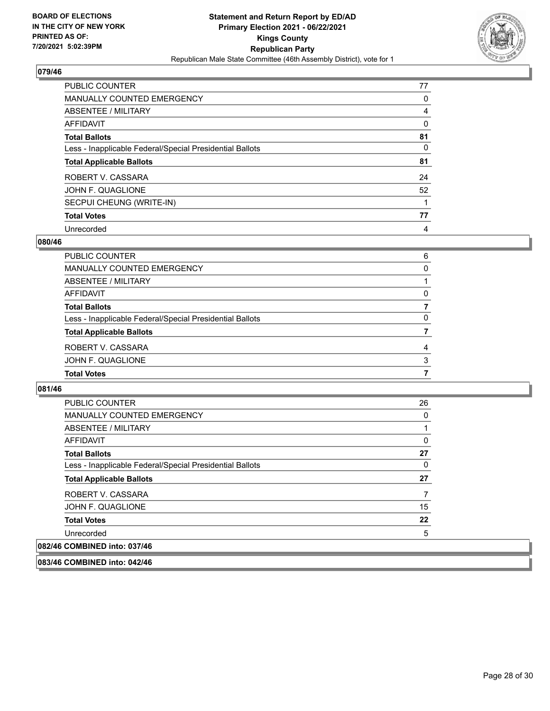

| <b>PUBLIC COUNTER</b>                                    | 77 |
|----------------------------------------------------------|----|
| <b>MANUALLY COUNTED EMERGENCY</b>                        | 0  |
| ABSENTEE / MILITARY                                      | 4  |
| AFFIDAVIT                                                | 0  |
| <b>Total Ballots</b>                                     | 81 |
| Less - Inapplicable Federal/Special Presidential Ballots | 0  |
| <b>Total Applicable Ballots</b>                          | 81 |
| ROBERT V. CASSARA                                        | 24 |
| JOHN F. QUAGLIONE                                        | 52 |
| SECPUI CHEUNG (WRITE-IN)                                 |    |
| <b>Total Votes</b>                                       | 77 |
| Unrecorded                                               | 4  |

## **080/46**

| PUBLIC COUNTER                                           | 6        |
|----------------------------------------------------------|----------|
| <b>MANUALLY COUNTED EMERGENCY</b>                        | $\Omega$ |
| <b>ABSENTEE / MILITARY</b>                               |          |
| AFFIDAVIT                                                | 0        |
| <b>Total Ballots</b>                                     |          |
| Less - Inapplicable Federal/Special Presidential Ballots | 0        |
| <b>Total Applicable Ballots</b>                          |          |
| ROBERT V. CASSARA                                        | 4        |
| JOHN F. QUAGLIONE                                        | 3        |
| <b>Total Votes</b>                                       |          |
|                                                          |          |

**081/46** 

| PUBLIC COUNTER                                           | 26 |
|----------------------------------------------------------|----|
| MANUALLY COUNTED EMERGENCY                               | 0  |
| ABSENTEE / MILITARY                                      |    |
| AFFIDAVIT                                                | 0  |
| <b>Total Ballots</b>                                     | 27 |
| Less - Inapplicable Federal/Special Presidential Ballots | 0  |
| <b>Total Applicable Ballots</b>                          | 27 |
| ROBERT V. CASSARA                                        |    |
| JOHN F. QUAGLIONE                                        | 15 |
| <b>Total Votes</b>                                       | 22 |
| Unrecorded                                               | 5  |
| 082/46 COMBINED into: 037/46                             |    |

**083/46 COMBINED into: 042/46**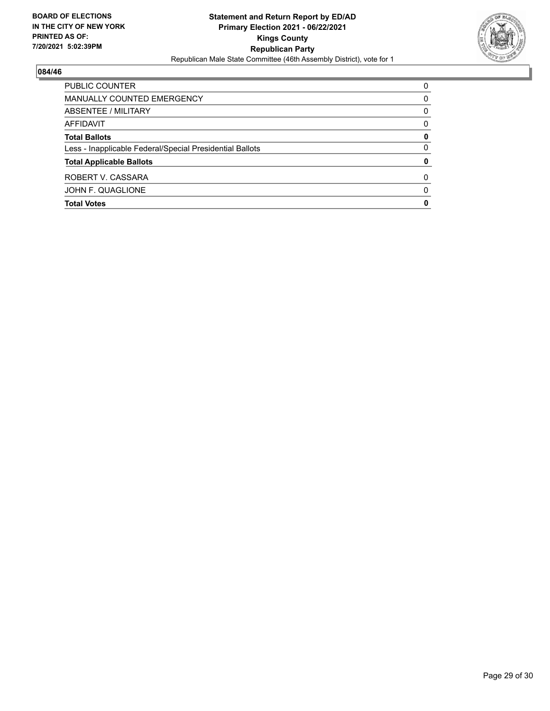

| <b>Total Votes</b>                                       | 0        |
|----------------------------------------------------------|----------|
| JOHN F. QUAGLIONE                                        | 0        |
| ROBERT V. CASSARA                                        | 0        |
| <b>Total Applicable Ballots</b>                          | 0        |
| Less - Inapplicable Federal/Special Presidential Ballots | 0        |
| <b>Total Ballots</b>                                     | 0        |
| AFFIDAVIT                                                | $\Omega$ |
| ABSENTEE / MILITARY                                      | 0        |
| MANUALLY COUNTED EMERGENCY                               | 0        |
| PUBLIC COUNTER                                           | $\Omega$ |